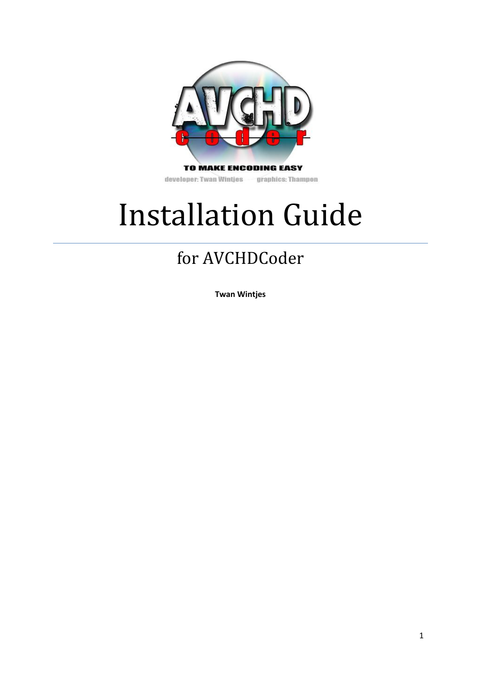

developer: Twan Wintjes graphics: Thampon

# Installation Guide

# for AVCHDCoder

**Twan Wintjes**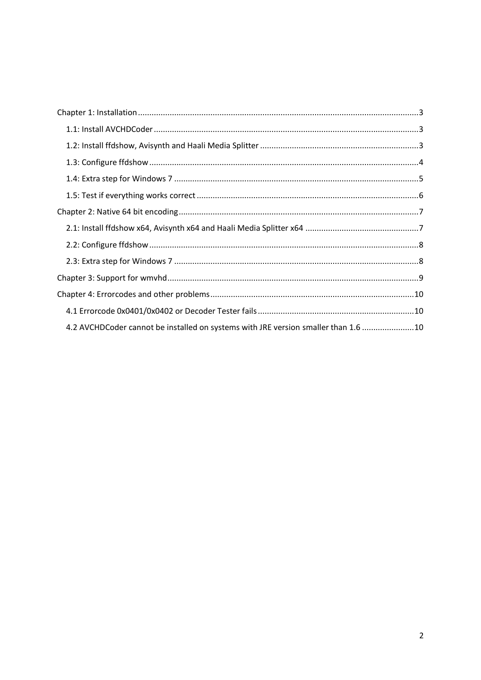| 4.2 AVCHDCoder cannot be installed on systems with JRE version smaller than 1.6 10 |  |
|------------------------------------------------------------------------------------|--|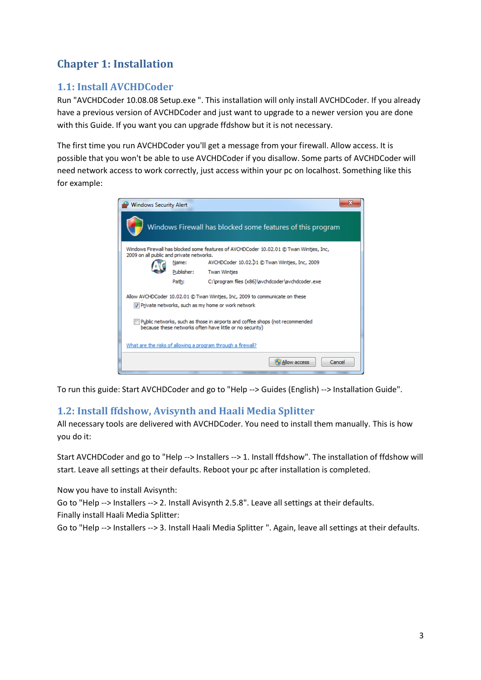# <span id="page-2-0"></span>**Chapter 1: Installation**

# <span id="page-2-1"></span>**1.1: Install AVCHDCoder**

Run "AVCHDCoder 10.08.08 Setup.exe ". This installation will only install AVCHDCoder. If you already have a previous version of AVCHDCoder and just want to upgrade to a newer version you are done with this Guide. If you want you can upgrade ffdshow but it is not necessary.

The first time you run AVCHDCoder you'll get a message from your firewall. Allow access. It is possible that you won't be able to use AVCHDCoder if you disallow. Some parts of AVCHDCoder will need network access to work correctly, just access within your pc on localhost. Something like this for example:

| <b>Windows Security Alert</b>            |            |                                                                                                                                          |  |
|------------------------------------------|------------|------------------------------------------------------------------------------------------------------------------------------------------|--|
|                                          |            | Windows Firewall has blocked some features of this program                                                                               |  |
| 2009 on all public and private networks. |            | Windows Firewall has blocked some features of AVCHDCoder 10.02.01 @ Twan Wintjes, Inc,                                                   |  |
|                                          | Name:      | AVCHDCoder 10.02.01 @ Twan Wintjes, Inc, 2009                                                                                            |  |
|                                          | Publisher: | <b>Twan Wintjes</b>                                                                                                                      |  |
|                                          | Path:      | C:\program files (x86)\avchdcoder\avchdcoder.exe                                                                                         |  |
|                                          |            | Allow AVCHDCoder 10.02.01 © Twan Wintjes, Inc, 2009 to communicate on these<br>Private networks, such as my home or work network         |  |
|                                          |            | Public networks, such as those in airports and coffee shops (not recommended<br>because these networks often have little or no security) |  |
|                                          |            | What are the risks of allowing a program through a firewall?                                                                             |  |
|                                          |            | Allow access<br>Cancel                                                                                                                   |  |

To run this guide: Start AVCHDCoder and go to "Help --> Guides (English) --> Installation Guide".

# <span id="page-2-2"></span>**1.2: Install ffdshow, Avisynth and Haali Media Splitter**

All necessary tools are delivered with AVCHDCoder. You need to install them manually. This is how you do it:

Start AVCHDCoder and go to "Help --> Installers --> 1. Install ffdshow". The installation of ffdshow will start. Leave all settings at their defaults. Reboot your pc after installation is completed.

Now you have to install Avisynth:

Go to "Help --> Installers --> 2. Install Avisynth 2.5.8". Leave all settings at their defaults. Finally install Haali Media Splitter:

Go to "Help --> Installers --> 3. Install Haali Media Splitter ". Again, leave all settings at their defaults.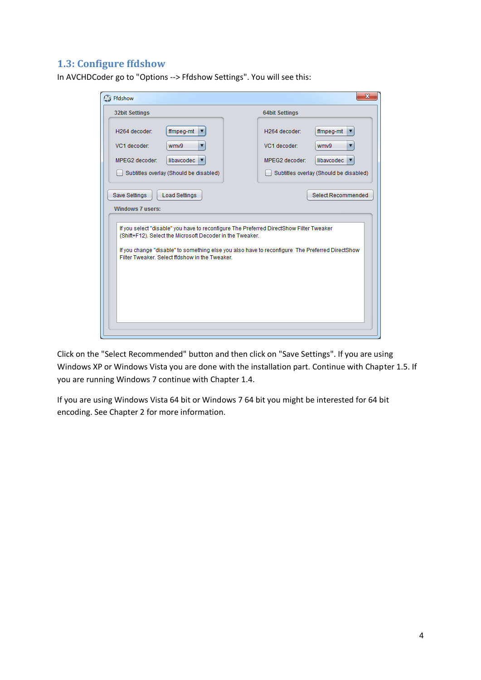# <span id="page-3-0"></span>**1.3: Configure ffdshow**

| <b>32bit Settings</b>                                                                                                                                        | <b>64bit Settings</b>                                                                   |
|--------------------------------------------------------------------------------------------------------------------------------------------------------------|-----------------------------------------------------------------------------------------|
| H264 decoder:<br>ffmpeg-mt                                                                                                                                   | H264 decoder:<br>ffmpeg-mt<br>▼                                                         |
| VC1 decoder:<br>wmv9                                                                                                                                         | VC1 decoder:<br>wmv9<br>▼                                                               |
| MPEG2 decoder:<br>libavcodec ▼                                                                                                                               | MPEG2 decoder:<br>libavcodec $\blacktriangledown$                                       |
| Subtitles overlay (Should be disabled)                                                                                                                       | Subtitles overlay (Should be disabled)                                                  |
|                                                                                                                                                              | If you select "disable" you have to reconfigure The Preferred DirectShow Filter Tweaker |
| (Shift+F12). Select the Microsoft Decoder in the Tweaker.<br>If you change "disable" to something else you also have to reconfigure The Preferred DirectShow |                                                                                         |
| Filter Tweaker, Select ffdshow in the Tweaker.                                                                                                               |                                                                                         |
|                                                                                                                                                              |                                                                                         |
|                                                                                                                                                              |                                                                                         |
|                                                                                                                                                              |                                                                                         |

In AVCHDCoder go to "Options --> Ffdshow Settings". You will see this:

Click on the "Select Recommended" button and then click on "Save Settings". If you are using Windows XP or Windows Vista you are done with the installation part. Continue with Chapter 1.5. If you are running Windows 7 continue with Chapter 1.4.

If you are using Windows Vista 64 bit or Windows 7 64 bit you might be interested for 64 bit encoding. See Chapter 2 for more information.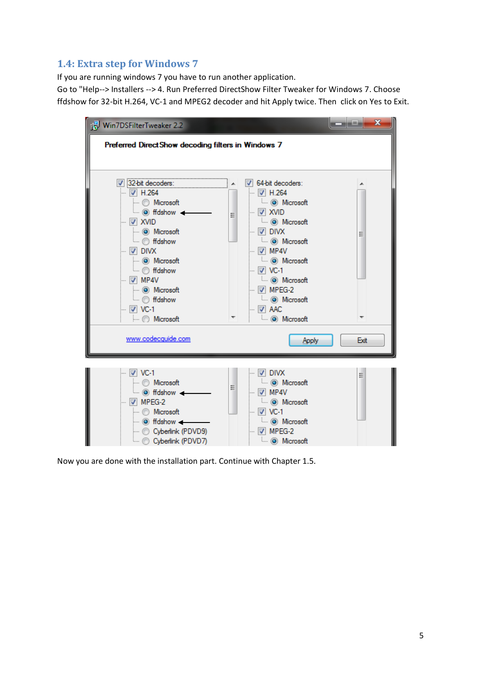# <span id="page-4-0"></span>**1.4: Extra step for Windows 7**

If you are running windows 7 you have to run another application.

Go to "Help--> Installers --> 4. Run Preferred DirectShow Filter Tweaker for Windows 7. Choose ffdshow for 32-bit H.264, VC-1 and MPEG2 decoder and hit Apply twice. Then click on Yes to Exit.

| Win7DSFilterTweaker 2.2                                                                                                                                                                                                                                                                                                                         |                                                                                                                                                                                                                                                                                                                                                                                      | $\mathbf x$<br>فغاده |
|-------------------------------------------------------------------------------------------------------------------------------------------------------------------------------------------------------------------------------------------------------------------------------------------------------------------------------------------------|--------------------------------------------------------------------------------------------------------------------------------------------------------------------------------------------------------------------------------------------------------------------------------------------------------------------------------------------------------------------------------------|----------------------|
| Preferred Direct Show decoding filters in Windows 7                                                                                                                                                                                                                                                                                             |                                                                                                                                                                                                                                                                                                                                                                                      |                      |
| 7 32-bit decoders:<br>— IV Н.264<br>- Microsoft<br>$\overline{\bullet}$ (e) fidshow $\overline{\bullet}$<br>릐<br>— IVI XVID<br>(O) Microsoft<br>— ∴ ffdshow<br>$\overline{\mathsf{v}}$ divx<br>$\leftarrow$ O Microsoft<br><b>E</b> fldshow<br>$\boxdot$ MP4V<br>i O Microsoft<br><b>E</b> ffdshow<br>$\overline{\mathsf{w}}$ VC-1<br>Microsoft | V 64-bit decoders:<br>$\blacksquare$ $\blacksquare$ H.264<br><b>E</b> ⊙ Microsoft<br>$\blacksquare$ $\triangledown$ XVID<br><b>ELL i</b> Microsoft<br>$\mathbb{Z}$ divx<br><b>E</b> ⊙ Microsoft<br>$\overline{\mathbb{U}}$ MP4V<br>i @ Microsoft<br><b>E</b> ⊙ Microsoft<br>$\blacksquare$ $\blacksquare$ MPEG-2<br><b>E</b> ⊙ Microsoft<br>$\overline{\vee}$ AAC<br>□ (o) Microsoft | Ξ                    |
| www.codecquide.com                                                                                                                                                                                                                                                                                                                              | Apply                                                                                                                                                                                                                                                                                                                                                                                | Exit                 |
| $\overline{\mathsf{w}}$ VC-1<br>i Microsoft<br>Ξ<br>— ( fidshow —<br>$\mathbb{R}$ MPEG-2<br>Microsoft<br>$\blacksquare$ $\odot$ fidshow $\blacksquare$<br>Cyberlink (PDVD9)<br>Cyberlink (PDVD7)                                                                                                                                                | $\overline{\mathbb{U}}$ divx<br><b>Microsoft</b><br>$\overline{\vee}$ MP4V<br><b>E</b> ⊙ Microsoft<br>— IV VC-1<br><b>E</b> ⊙ Microsoft<br>$\mathbb{W}$ MPEG-2<br><b>Microsoft</b>                                                                                                                                                                                                   | Ξ                    |

Now you are done with the installation part. Continue with Chapter 1.5.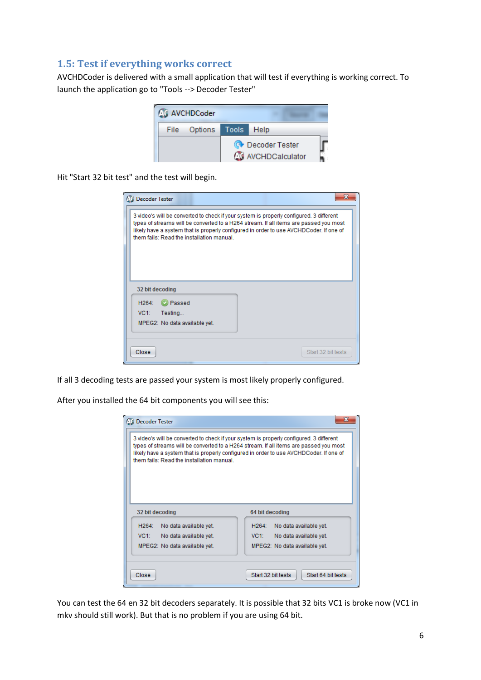#### <span id="page-5-0"></span>**1.5: Test if everything works correct**

AVCHDCoder is delivered with a small application that will test if everything is working correct. To launch the application go to "Tools --> Decoder Tester"

|      | <b>AVCHDCoder</b> |       |                                                   |  |
|------|-------------------|-------|---------------------------------------------------|--|
| File | Options           | Tools | - Help                                            |  |
|      |                   |       | <b>O</b> Decoder Tester<br><b>AVCHDCalculator</b> |  |

Hit "Start 32 bit test" and the test will begin.

| <b>CO</b> Decoder Tester                                                                                                                                                                                                                                                                                               | ж                  |
|------------------------------------------------------------------------------------------------------------------------------------------------------------------------------------------------------------------------------------------------------------------------------------------------------------------------|--------------------|
| 3 video's will be converted to check if your system is properly configured. 3 different<br>types of streams will be converted to a H264 stream. If all items are passed you most<br>likely have a system that is properly configured in order to use AVCHDCoder. If one of<br>them fails: Read the installation manual |                    |
| 32 bit decoding                                                                                                                                                                                                                                                                                                        |                    |
| Passed<br>H <sup>264</sup><br>Testing<br>VC1:<br>MPEG2: No data available yet.                                                                                                                                                                                                                                         |                    |
| Close                                                                                                                                                                                                                                                                                                                  | Start 32 bit tests |

If all 3 decoding tests are passed your system is most likely properly configured.

After you installed the 64 bit components you will see this:

| <b>C</b> Decoder Tester<br>3 video's will be converted to check if your system is properly configured. 3 different<br>types of streams will be converted to a H264 stream. If all items are passed you most<br>likely have a system that is properly configured in order to use AVCHDCoder. If one of<br>them fails: Read the installation manual |                                                                                                       |
|---------------------------------------------------------------------------------------------------------------------------------------------------------------------------------------------------------------------------------------------------------------------------------------------------------------------------------------------------|-------------------------------------------------------------------------------------------------------|
| 32 bit decoding                                                                                                                                                                                                                                                                                                                                   | 64 bit decoding                                                                                       |
| H264:<br>No data available yet.<br>VC1: No data available yet.<br>MPEG2: No data available yet.                                                                                                                                                                                                                                                   | $H264$ :<br>No data available yet.<br>VC1:<br>No data available yet.<br>MPEG2: No data available yet. |
| Close                                                                                                                                                                                                                                                                                                                                             | Start 32 bit tests<br>Start 64 bit tests                                                              |

You can test the 64 en 32 bit decoders separately. It is possible that 32 bits VC1 is broke now (VC1 in mkv should still work). But that is no problem if you are using 64 bit.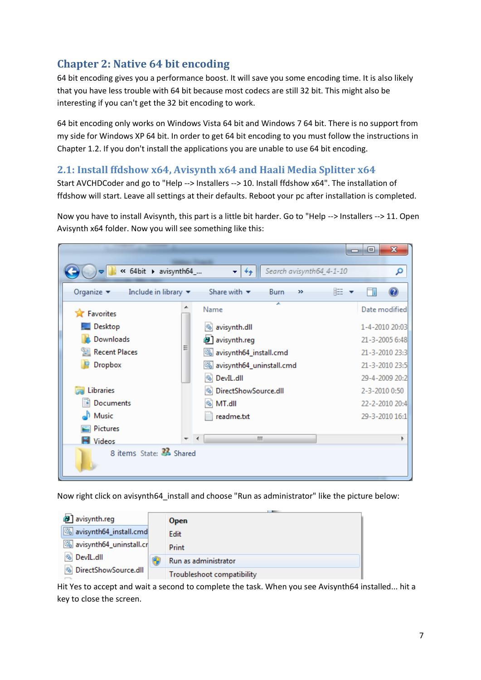# <span id="page-6-0"></span>**Chapter 2: Native 64 bit encoding**

64 bit encoding gives you a performance boost. It will save you some encoding time. It is also likely that you have less trouble with 64 bit because most codecs are still 32 bit. This might also be interesting if you can't get the 32 bit encoding to work.

64 bit encoding only works on Windows Vista 64 bit and Windows 7 64 bit. There is no support from my side for Windows XP 64 bit. In order to get 64 bit encoding to you must follow the instructions in Chapter 1.2. If you don't install the applications you are unable to use 64 bit encoding.

#### <span id="page-6-1"></span>**2.1: Install ffdshow x64, Avisynth x64 and Haali Media Splitter x64**

Start AVCHDCoder and go to "Help --> Installers --> 10. Install ffdshow x64". The installation of ffdshow will start. Leave all settings at their defaults. Reboot your pc after installation is completed.

Now you have to install Avisynth, this part is a little bit harder. Go to "Help --> Installers --> 11. Open Avisynth x64 folder. Now you will see something like this:



Now right click on avisynth64\_install and choose "Run as administrator" like the picture below:

| all avisynth.reg        | <b>Open</b>                |
|-------------------------|----------------------------|
| avisynth64_install.cmd  | Edit                       |
| avisynth64_uninstall.cr | Print                      |
| <b>S</b> DevIL.dll      | Run as administrator       |
| DirectShowSource.dll    | Troubleshoot compatibility |

Hit Yes to accept and wait a second to complete the task. When you see Avisynth64 installed... hit a key to close the screen.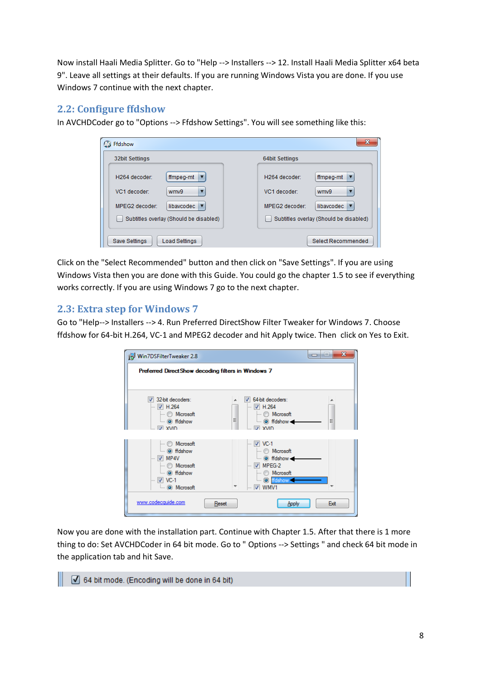Now install Haali Media Splitter. Go to "Help --> Installers --> 12. Install Haali Media Splitter x64 beta 9". Leave all settings at their defaults. If you are running Windows Vista you are done. If you use Windows 7 continue with the next chapter.

#### <span id="page-7-0"></span>**2.2: Configure ffdshow**

In AVCHDCoder go to "Options --> Ffdshow Settings". You will see something like this:

| Ffdshow<br>$\mathbf{C}$                | $\mathbf{x}$                           |
|----------------------------------------|----------------------------------------|
| <b>32bit Settings</b>                  | <b>64bit Settings</b>                  |
| ffmpeg-mt<br>H264 decoder:             | ffmpeg-mt<br>H264 decoder:             |
| VC1 decoder:<br>wmv9                   | VC1 decoder:<br>wmv9                   |
| libavcodec<br>MPEG2 decoder:           | MPEG2 decoder:<br>libavcodec           |
| Subtitles overlay (Should be disabled) | Subtitles overlay (Should be disabled) |
| Save Settings<br>Load Settings         | Select Recommended                     |

Click on the "Select Recommended" button and then click on "Save Settings". If you are using Windows Vista then you are done with this Guide. You could go the chapter 1.5 to see if everything works correctly. If you are using Windows 7 go to the next chapter.

#### <span id="page-7-1"></span>**2.3: Extra step for Windows 7**

Go to "Help--> Installers --> 4. Run Preferred DirectShow Filter Tweaker for Windows 7. Choose ffdshow for 64-bit H.264, VC-1 and MPEG2 decoder and hit Apply twice. Then click on Yes to Exit.

| Win7DSFilterTweaker 2.8                             |       |                                                   | Ж<br>$  -$<br><b>The Second Second</b> |
|-----------------------------------------------------|-------|---------------------------------------------------|----------------------------------------|
| Preferred Direct Show decoding filters in Windows 7 |       |                                                   |                                        |
|                                                     |       |                                                   |                                        |
| V 32-bit decoders:                                  |       | 64-bit decoders:                                  |                                        |
| $\blacksquare$ $\blacksquare$ H.264                 |       | $\blacksquare$ $\blacksquare$ H.264               |                                        |
| Microsoft<br><b>E</b> ⊙ ffdshow                     | Ξ     | <b>Microsoft</b>                                  | Ξ                                      |
| … IV xvin                                           |       | — © ffdshow <b>→</b><br><b>EX XVID</b>            |                                        |
|                                                     |       |                                                   |                                        |
| i Microsoft                                         |       | $\overline{V}$ VC-1                               |                                        |
| $\overline{\bullet}$ (e) ffdshow                    |       | i Microsoft                                       |                                        |
| $\overline{\vee}$ MP4V                              |       | <b>Co</b> ffdshow                                 |                                        |
| Microsoft<br><b>Co</b> ffdshow                      |       | $\blacksquare$ $\blacksquare$ MPEG-2<br>Microsoft |                                        |
| $\blacksquare$ $\blacksquare$ VC-1                  |       | <b>i</b> © ffdshow                                |                                        |
| (a) Microsoft                                       |       | $\overline{v}$ $\overline{v}$ WMV1                |                                        |
|                                                     |       |                                                   |                                        |
| www.codecquide.com                                  | Reset | Apply                                             | Exit                                   |
|                                                     |       |                                                   |                                        |

Now you are done with the installation part. Continue with Chapter 1.5. After that there is 1 more thing to do: Set AVCHDCoder in 64 bit mode. Go to " Options --> Settings " and check 64 bit mode in the application tab and hit Save.

64 bit mode. (Encoding will be done in 64 bit)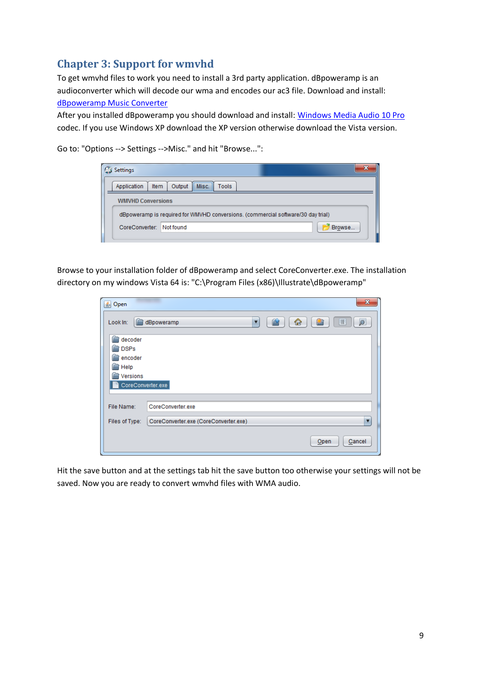# <span id="page-8-0"></span>**Chapter 3: Support for wmvhd**

To get wmvhd files to work you need to install a 3rd party application. dBpoweramp is an audioconverter which will decode our wma and encodes our ac3 file. Download and install:

#### [dBpoweramp Music Converter](http://www.dbpoweramp.com/download.htm)

After you installed dBpoweramp you should download and install: [Windows Media Audio 10 Pro](http://www.dbpoweramp.com/codec-central-windows-media-audio.htm) codec. If you use Windows XP download the XP version otherwise download the Vista version.

Go to: "Options --> Settings -->Misc." and hit "Browse...":

| Settings                 |                                                                                  |        |
|--------------------------|----------------------------------------------------------------------------------|--------|
| Item<br>Application      | Misc.<br>Output<br><b>Tools</b>                                                  |        |
| <b>WMVHD Conversions</b> |                                                                                  |        |
|                          | dBpoweramp is required for WMVHD conversions. (commercial software/30 day trial) |        |
| CoreConverter: Not found |                                                                                  | Browse |
|                          |                                                                                  |        |

Browse to your installation folder of dBpoweramp and select CoreConverter.exe. The installation directory on my windows Vista 64 is: "C:\Program Files (x86)\Illustrate\dBpoweramp"

| <b><i>L</i></b> Open | $\mathbf{x}$                               |
|----------------------|--------------------------------------------|
| Look In:             | 简<br>ø<br>呛<br>臣<br>添<br>dBpoweramp<br>Y   |
| decoder              |                                            |
| <b>DSPs</b>          |                                            |
| encoder              |                                            |
| Help                 |                                            |
| Versions             |                                            |
| CoreConverter.exe    |                                            |
|                      |                                            |
| File Name:           | CoreConverter.exe                          |
|                      |                                            |
| Files of Type:       | CoreConverter.exe (CoreConverter.exe)<br>▼ |
|                      | Cancel<br>Open                             |

Hit the save button and at the settings tab hit the save button too otherwise your settings will not be saved. Now you are ready to convert wmvhd files with WMA audio.